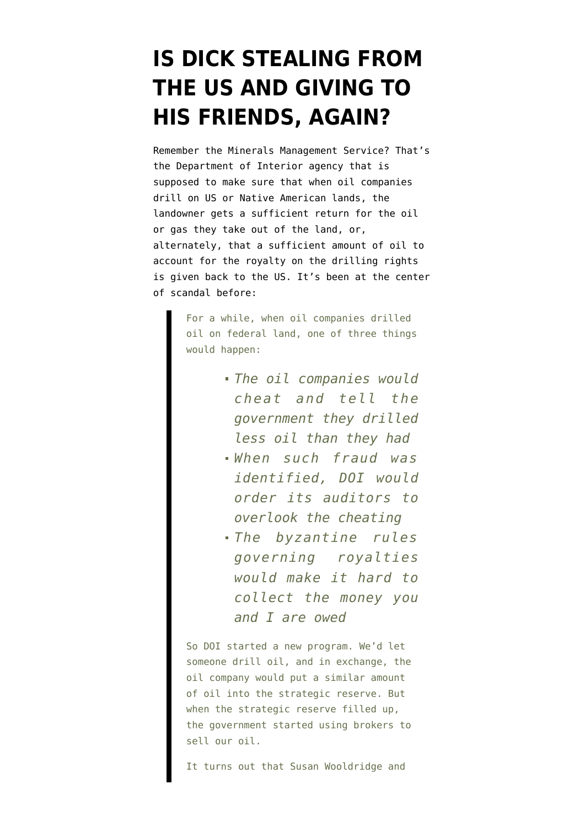## **[IS DICK STEALING FROM](https://www.emptywheel.net/2008/01/10/is-dick-stealing-from-the-us-and-giving-to-his-friends-again/) [THE US AND GIVING TO](https://www.emptywheel.net/2008/01/10/is-dick-stealing-from-the-us-and-giving-to-his-friends-again/) [HIS FRIENDS, AGAIN?](https://www.emptywheel.net/2008/01/10/is-dick-stealing-from-the-us-and-giving-to-his-friends-again/)**

Remember the Minerals Management Service? That's the Department of Interior agency that is supposed to make sure that when oil companies drill on US or Native American lands, the landowner gets a sufficient return for the oil or gas they take out of the land, or, alternately, that a sufficient amount of oil to account for the royalty on the drilling rights is given back to the US. It's been at the [center](http://thenexthurrah.typepad.com/the_next_hurrah/2007/06/does-the-royalt.html) [of scandal](http://thenexthurrah.typepad.com/the_next_hurrah/2007/06/does-the-royalt.html) before:

> For a while, when oil companies drilled oil on federal land, one of three things would happen:

- *The oil companies would cheat and tell the government they drilled less oil than they had*
- *When such fraud was identified, DOI would order its auditors to overlook the cheating*
- *The byzantine rules governing royalties would make it hard to collect the money you and I are owed*

So DOI started a new program. We'd let someone drill oil, and in exchange, the oil company would put a similar amount of oil into the strategic reserve. But when the strategic reserve filled up, the government started using brokers to sell our oil.

It turns out that Susan Wooldridge and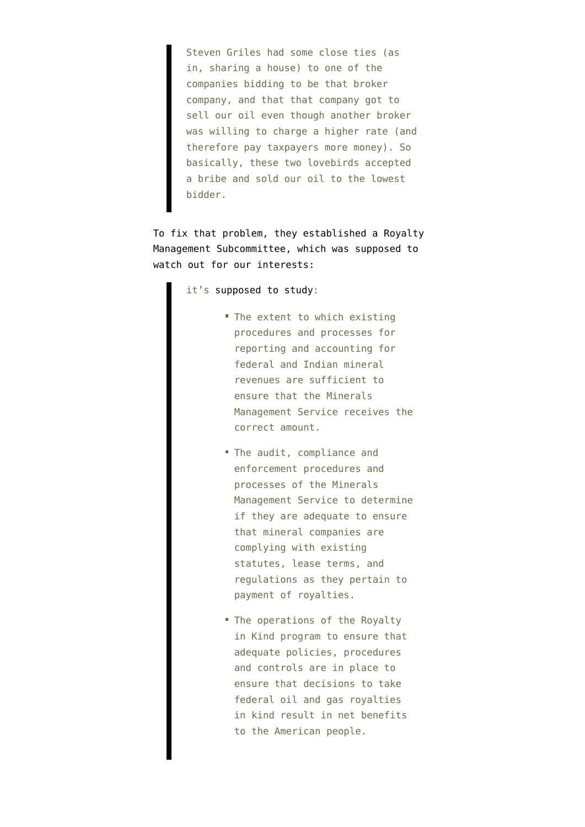Steven Griles had some close ties (as in, sharing a house) to one of the companies bidding to be that broker company, and that that company got to sell our oil even though another broker was willing to charge a higher rate (and therefore pay taxpayers more money). So basically, these two lovebirds accepted a bribe and sold our oil to the lowest bidder.

To fix that problem, they established a Royalty Management Subcommittee, which was supposed to watch out for our interests:

it's [supposed to study:](http://www.mms.gov/ooc/press/2006/press1114.htm)

- The extent to which existing procedures and processes for reporting and accounting for federal and Indian mineral revenues are sufficient to ensure that the Minerals Management Service receives the correct amount.
- The audit, compliance and enforcement procedures and processes of the Minerals Management Service to determine if they are adequate to ensure that mineral companies are complying with existing statutes, lease terms, and regulations as they pertain to payment of royalties.
- The operations of the Royalty in Kind program to ensure that adequate policies, procedures and controls are in place to ensure that decisions to take federal oil and gas royalties in kind result in net benefits to the American people.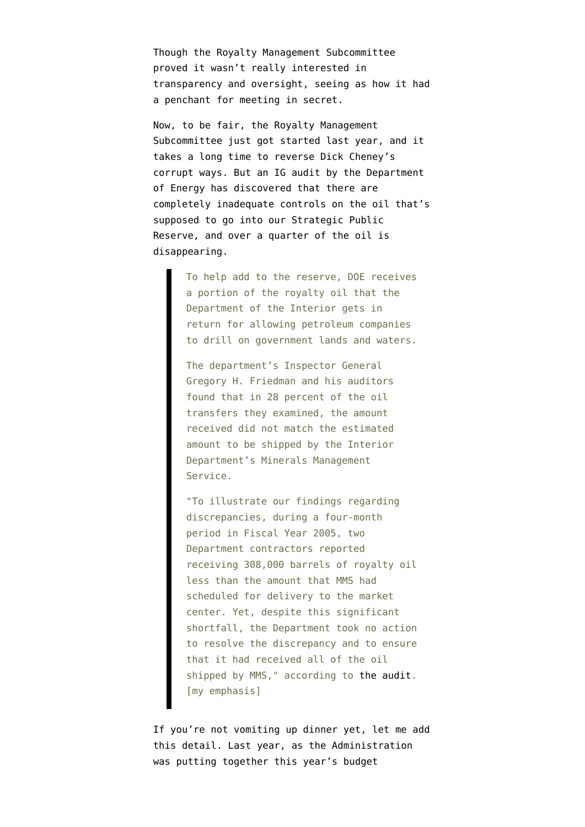Though the Royalty Management Subcommittee proved it wasn't really interested in transparency and oversight, seeing as how it had a penchant for [meeting in secret.](http://pogoblog.typepad.com/pogo/2007/06/subcommittee-on.html)

Now, to be fair, the Royalty Management Subcommittee just got started last year, and it takes a long time to reverse Dick Cheney's corrupt ways. But an IG audit by the Department of Energy [has discovered t](http://blogs.abcnews.com/theblotter/2008/01/oil-crisis-as-b.html)hat there are completely inadequate controls on the oil that's supposed to go into our Strategic Public Reserve, and over a quarter of the oil is disappearing.

> To help add to the reserve, DOE receives a portion of the royalty oil that the Department of the Interior gets in return for allowing petroleum companies to drill on government lands and waters.

The department's Inspector General Gregory H. Friedman and his auditors found that in 28 percent of the oil transfers they examined, the amount received did not match the estimated amount to be shipped by the Interior Department's Minerals Management Service.

"To illustrate our findings regarding discrepancies, during a four-month period in Fiscal Year 2005, two Department contractors reported receiving 308,000 barrels of royalty oil less than the amount that MMS had scheduled for delivery to the market center. Yet, despite this significant shortfall, the Department took no action to resolve the discrepancy and to ensure that it had received all of the oil shipped by MMS," according to [the audit.](http://www.ig.energy.gov/documents/IG-0786.pdf) [my emphasis]

If you're not vomiting up dinner yet, let me add this detail. Last year, as the Administration was putting together this year's budget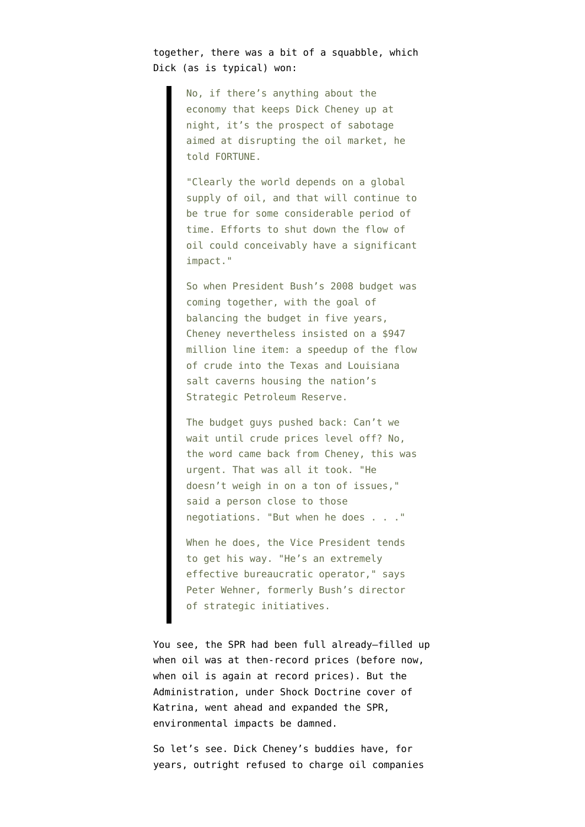## together, there was a bit of a squabble, which [Dick \(as is typical\) won:](http://money.cnn.com/2007/11/22/magazines/fortune/cheney.fortune/index.htm?section=money_latest)

No, if there's anything about the economy that keeps Dick Cheney up at night, it's the prospect of sabotage aimed at disrupting the oil market, he told FORTUNE.

"Clearly the world depends on a global supply of oil, and that will continue to be true for some considerable period of time. Efforts to shut down the flow of oil could conceivably have a significant impact."

So when President Bush's 2008 budget was coming together, with the goal of balancing the budget in five years, Cheney nevertheless insisted on a \$947 million line item: a speedup of the flow of crude into the Texas and Louisiana salt caverns housing the nation's Strategic Petroleum Reserve.

The budget guys pushed back: Can't we wait until crude prices level off? No, the word came back from Cheney, this was urgent. That was all it took. "He doesn't weigh in on a ton of issues," said a person close to those negotiations. "But when he does . . ."

When he does, the Vice President tends to get his way. "He's an extremely effective bureaucratic operator," says Peter Wehner, formerly Bush's director of strategic initiatives.

You see, the SPR had been full already–filled up when oil was at then-record prices (before now, when oil is again at record prices). But the Administration, under Shock Doctrine cover of Katrina, went ahead and [expanded the SPR,](http://www.first-draft.com/2007/12/under-cover-of.html) environmental impacts be damned.

So let's see. Dick Cheney's buddies have, for years, outright refused to charge oil companies